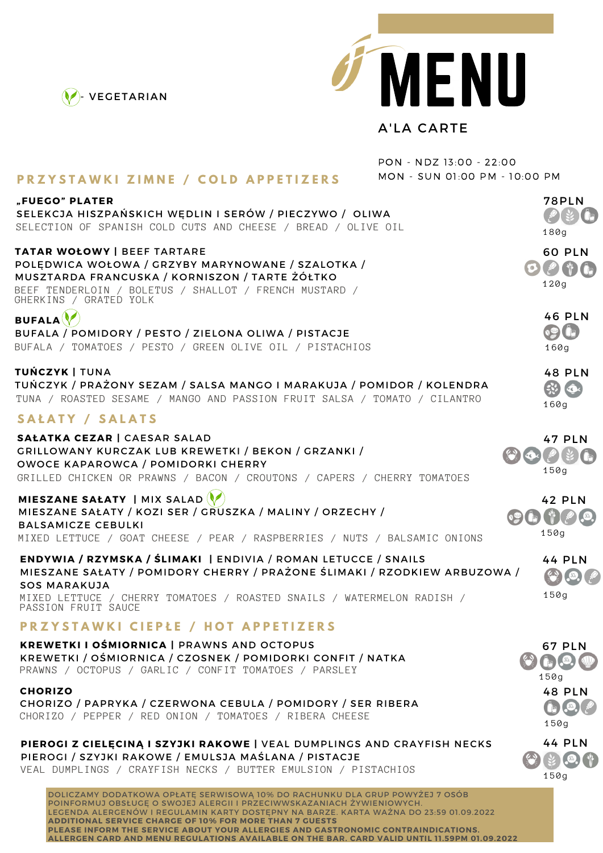



## A'LA CARTE

|                                                                                                                                                                                                                                                                                                                    | PON - NDZ 13:00 - 22:00       |                                     |
|--------------------------------------------------------------------------------------------------------------------------------------------------------------------------------------------------------------------------------------------------------------------------------------------------------------------|-------------------------------|-------------------------------------|
| <b>PRZYSTAWKI ZIMNE / COLD APPETIZERS</b>                                                                                                                                                                                                                                                                          | MON - SUN 01:00 PM - 10:00 PM |                                     |
| "FUEGO" PLATER<br>SELEKCJA HISZPAŃSKICH WĘDLIN I SERÓW / PIECZYWO / OLIWA<br>SELECTION OF SPANISH COLD CUTS AND CHEESE / BREAD / OLIVE OIL                                                                                                                                                                         |                               | <b>78PLN</b><br>180g                |
| TATAR WOŁOWY   BEEF TARTARE<br>POLĘDWICA WOŁOWA / GRZYBY MARYNOWANE / SZALOTKA /<br>MUSZTARDA FRANCUSKA / KORNISZON / TARTE ŻÓŁTKO<br>BEEF TENDERLOIN / BOLETUS / SHALLOT / FRENCH MUSTARD /<br>GHERKINS / GRATED YOLK                                                                                             | (0)                           | <b>60 PLN</b><br>120g               |
| BUFALA $\langle$<br>BUFALA / POMIDORY / PESTO / ZIELONA OLIWA / PISTACJE<br>BUFALA / TOMATOES / PESTO / GREEN OLIVE OIL / PISTACHIOS                                                                                                                                                                               |                               | <b>46 PLN</b><br>160g               |
| TUŃCZYK   TUNA<br>TUŃCZYK / PRAŻONY SEZAM / SALSA MANGO I MARAKUJA / POMIDOR / KOLENDRA<br>TUNA / ROASTED SESAME / MANGO AND PASSION FRUIT SALSA / TOMATO / CILANTRO                                                                                                                                               |                               | <b>48 PLN</b><br>$\sqrt{2}$<br>160g |
| SAŁATY / SALATS                                                                                                                                                                                                                                                                                                    |                               |                                     |
| SAŁATKA CEZAR   CAESAR SALAD<br>GRILLOWANY KURCZAK LUB KREWETKI / BEKON / GRZANKI /<br>OWOCE KAPAROWCA / POMIDORKI CHERRY<br>GRILLED CHICKEN OR PRAWNS / BACON / CROUTONS / CAPERS / CHERRY TOMATOES                                                                                                               | $\left($ $\right)$            | <b>47 PLN</b><br>150g               |
| MIESZANE SAŁATY   MIX SALAD<br>MIESZANE SAŁATY / KOZI SER / GRUSZKA / MALINY / ORZECHY /<br><b>BALSAMICZE CEBULKI</b><br>MIXED LETTUCE / GOAT CHEESE / PEAR / RASPBERRIES / NUTS / BALSAMIC ONIONS                                                                                                                 |                               | <b>42 PLN</b><br>150g               |
| ENDYWIA / RZYMSKA / ŚLIMAKI   ENDIVIA / ROMAN LETUCCE / SNAILS<br>MIESZANE SAŁATY / POMIDORY CHERRY / PRAŻONE ŚLIMAKI / RZODKIEW ARBUZOWA /<br><b>SOS MARAKUJA</b><br>MIXED LETTUCE / CHERRY TOMATOES / ROASTED SNAILS / WATERMELON RADISH /<br>PASSION FRUIT SAUCE                                                |                               | <b>44 PLN</b><br>150g               |
| <b>PRZYSTAWKI CIEPŁE / HOT APPETIZERS</b>                                                                                                                                                                                                                                                                          |                               |                                     |
| <b>KREWETKI I OŚMIORNICA   PRAWNS AND OCTOPUS</b><br>KREWETKI / OŚMIORNICA / CZOSNEK / POMIDORKI CONFIT / NATKA<br>PRAWNS / OCTOPUS / GARLIC / CONFIT TOMATOES / PARSLEY                                                                                                                                           |                               | <b>67 PLN</b><br>150g               |
| <b>CHORIZO</b><br>CHORIZO / PAPRYKA / CZERWONA CEBULA / POMIDORY / SER RIBERA<br>CHORIZO / PEPPER / RED ONION / TOMATOES / RIBERA CHEESE                                                                                                                                                                           |                               | <b>48 PLN</b><br>150g               |
| PIEROGI Z CIELĘCINĄ I SZYJKI RAKOWE   VEAL DUMPLINGS AND CRAYFISH NECKS<br>PIEROGI / SZYJKI RAKOWE / EMULSJA MAŚLANA / PISTACJE<br>VEAL DUMPLINGS / CRAYFISH NECKS / BUTTER EMULSION / PISTACHIOS                                                                                                                  |                               | <b>44 PLN</b><br>150g               |
| DOLICZAMY DODATKOWA OPŁATE SERWISOWA 10% DO RACHUNKU DLA GRUP POWYŻEJ 7 OSÓB<br>POINFORMUJ OBSŁUGE O SWOJEJ ALERGII I PRZECIWWSKAZANIACH ŻYWIENIOWYCH.<br>LEGENDA ALERGENÓW I REGULAMIN KARTY DOSTEPNY NA BARZE. KARTA WAŻNA DO 23:59 01.09.2022<br><b>ADDITIONAL SERVICE CHARGE OF 10% FOR MORE THAN 7 GUESTS</b> |                               |                                     |

**PLEASE INFORM THE SERVICE ABOUT YOUR ALLERGIES AND GASTRONOMIC CONTRAINDICATIONS. ALLERGEN CARD AND MENU REGULATIONS AVAILABLE ON THE BAR. CARD VALID UNTIL 11.59PM 01.09.2022**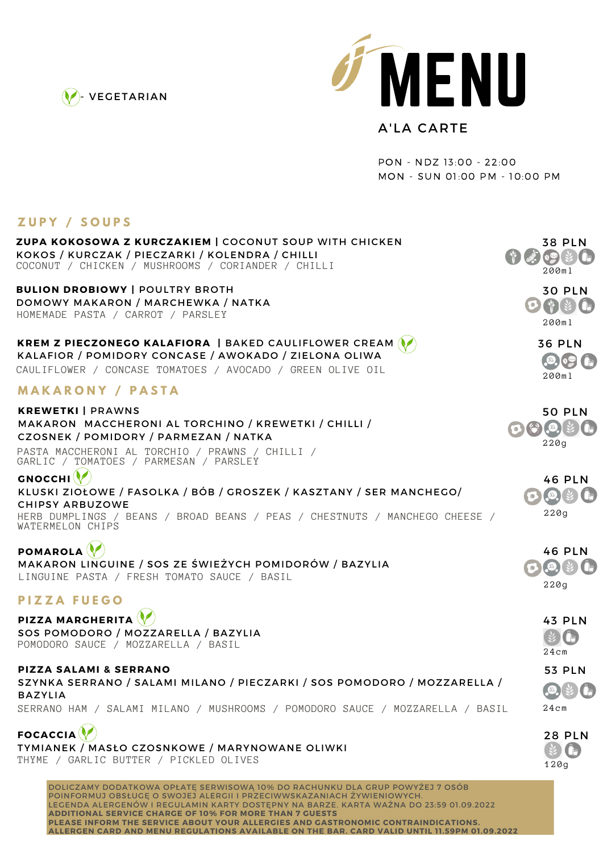



## A'LA CARTE

PON - NDZ 13:00 - 22:00 MON - SUN 01:00 PM - 10:00 PM

## **Z U P Y / S O U P S**

| LUFI / JUUFJ                                                                                                                                                                                                                                                                                                       |                                                                                           |
|--------------------------------------------------------------------------------------------------------------------------------------------------------------------------------------------------------------------------------------------------------------------------------------------------------------------|-------------------------------------------------------------------------------------------|
| <b>ZUPA KOKOSOWA Z KURCZAKIEM   COCONUT SOUP WITH CHICKEN</b><br>KOKOS / KURCZAK / PIECZARKI / KOLENDRA / CHILLI<br>COCONUT / CHICKEN / MUSHROOMS / CORIANDER / CHILLI                                                                                                                                             | <b>38 PLN</b><br>$\mathcal{L}(\mathcal{L})$<br>200ml                                      |
| <b>BULION DROBIOWY   POULTRY BROTH</b><br>DOMOWY MAKARON / MARCHEWKA / NATKA<br>HOMEMADE PASTA / CARROT / PARSLEY                                                                                                                                                                                                  | <b>30 PLN</b><br>0 1 3<br>200ml                                                           |
| <b>KREM Z PIECZONEGO KALAFIORA   BAKED CAULIFLOWER CREAM (</b><br>KALAFIOR / POMIDORY CONCASE / AWOKADO / ZIELONA OLIWA<br>CAULIFLOWER / CONCASE TOMATOES / AVOCADO / GREEN OLIVE OIL                                                                                                                              | <b>36 PLN</b><br>200ml                                                                    |
| <b>MAKARONY / PASTA</b>                                                                                                                                                                                                                                                                                            |                                                                                           |
| <b>KREWETKI   PRAWNS</b><br>MAKARON MACCHERONI AL TORCHINO / KREWETKI / CHILLI /<br>CZOSNEK / POMIDORY / PARMEZAN / NATKA<br>PASTA MACCHERONI AL TORCHIO / PRAWNS / CHILLI /<br>GARLIC / TOMATOES / PARMESAN / PARSLEY                                                                                             | <b>50 PLN</b><br>220g                                                                     |
| <b>GNOCCHI</b><br>KLUSKI ZIOŁOWE / FASOLKA / BÓB / GROSZEK / KASZTANY / SER MANCHEGO/<br><b>CHIPSY ARBUZOWE</b><br>HERB DUMPLINGS / BEANS / BROAD BEANS / PEAS / CHESTNUTS / MANCHEGO CHEESE /<br>WATERMELON CHIPS                                                                                                 | <b>46 PLN</b><br>$\left( \frac{\varsigma_{0}}{\varsigma_{1}}\right)$<br>$\bullet$<br>220g |
| <b>POMAROLA</b><br>MAKARON LINGUINE / SOS ZE ŚWIEŻYCH POMIDORÓW / BAZYLIA<br>LINGUINE PASTA / FRESH TOMATO SAUCE / BASIL                                                                                                                                                                                           | <b>46 PLN</b><br>220g                                                                     |
| <b>PIZZA FUEGO</b>                                                                                                                                                                                                                                                                                                 |                                                                                           |
| PIZZA MARGHERITA<br>SOS POMODORO / MOZZARELLA / BAZYLIA<br>POMODORO SAUCE / MOZZARELLA / BASIL                                                                                                                                                                                                                     | <b>43 PLN</b><br>24cm                                                                     |
| PIZZA SALAMI & SERRANO<br>SZYNKA SERRANO / SALAMI MILANO / PIECZARKI / SOS POMODORO / MOZZARELLA /<br><b>BAZYLIA</b><br>SERRANO HAM / SALAMI MILANO / MUSHROOMS / POMODORO SAUCE / MOZZARELLA / BASIL                                                                                                              | <b>53 PLN</b><br>$24$ cm                                                                  |
| <b>FOCACCIA</b><br>TYMIANEK / MASŁO CZOSNKOWE / MARYNOWANE OLIWKI<br>THYME / GARLIC BUTTER / PICKLED OLIVES                                                                                                                                                                                                        | <b>28 PLN</b><br>$\sqrt{2}$<br>120g                                                       |
| DOLICZAMY DODATKOWA OPŁATE SERWISOWA 10% DO RACHUNKU DLA GRUP POWYŻEJ 7 OSÓB<br>POINFORMUJ OBSŁUGE O SWOJEJ ALERGII I PRZECIWWSKAZANIACH ŻYWIENIOWYCH.<br>LEGENDA ALERGENÓW I REGULAMIN KARTY DOSTĘPNY NA BARZE. KARTA WAZNA DO 23:59 01.09.2022<br><b>ADDITIONAL SERVICE CHARGE OF 10% FOR MORE THAN 7 GUESTS</b> |                                                                                           |

**PLEASE INFORM THE SERVICE ABOUT YOUR ALLERGIES AND GASTRONOMIC CONTRAINDICATIONS. ALLERGEN CARD AND MENU REGULATIONS AVAILABLE ON THE BAR. CARD VALID UNTIL 11.59PM 01.09.2022**